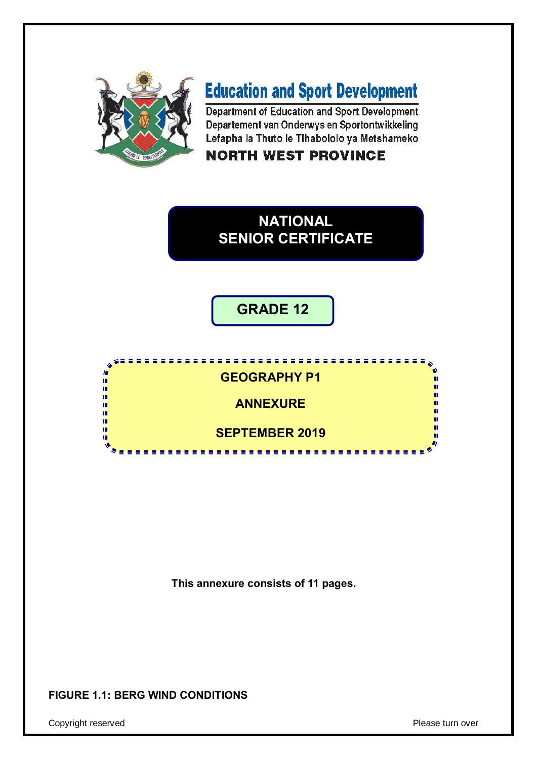

m り<br>には ΙĒ, í.

'n n.

# **Education and Sport Development**

Department of Education and Sport Development Departement van Onderwys en Sportontwikkeling Lefapha la Thuto le Tihabololo ya Metshameko

# **NORTH WEST PROVINCE**

# **NATIONAL SENIOR CERTIFICATE**

**GRADE 12**

#### **GEOGRAPHY P1**

**ANNEXURE**

**SEPTEMBER 2019**

---------------

**This annexure consists of 11 pages.**

## **FIGURE 1.1: BERG WIND CONDITIONS**

Copyright reserved **Please** turn over

П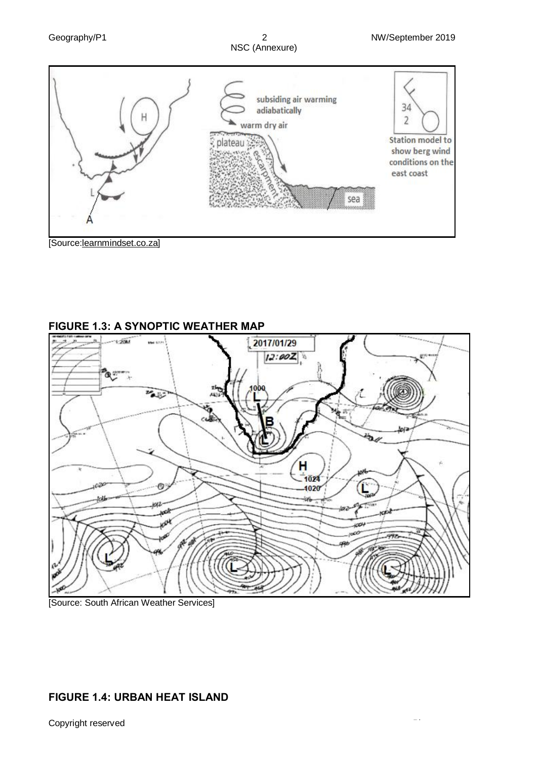





**FIGURE 1.3: A SYNOPTIC WEATHER MAP**

[Source: South African Weather Services]

#### **FIGURE 1.4: URBAN HEAT ISLAND**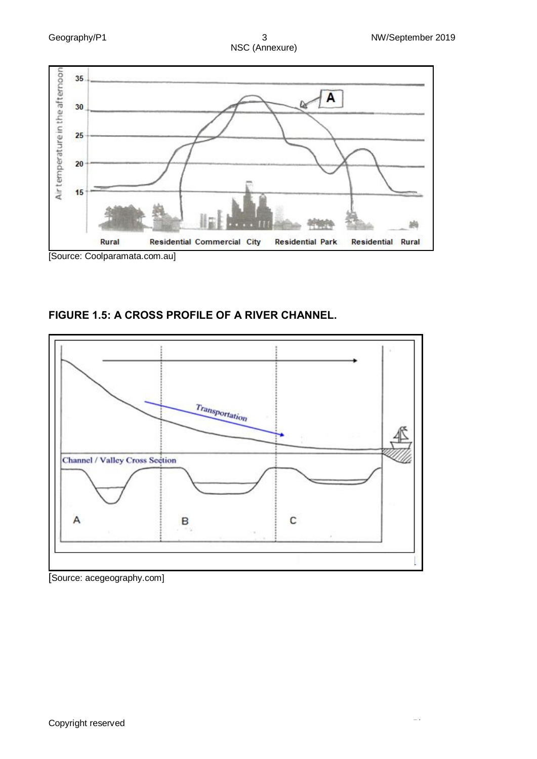



**FIGURE 1.5: A CROSS PROFILE OF A RIVER CHANNEL.** 



[Source: acegeography.com]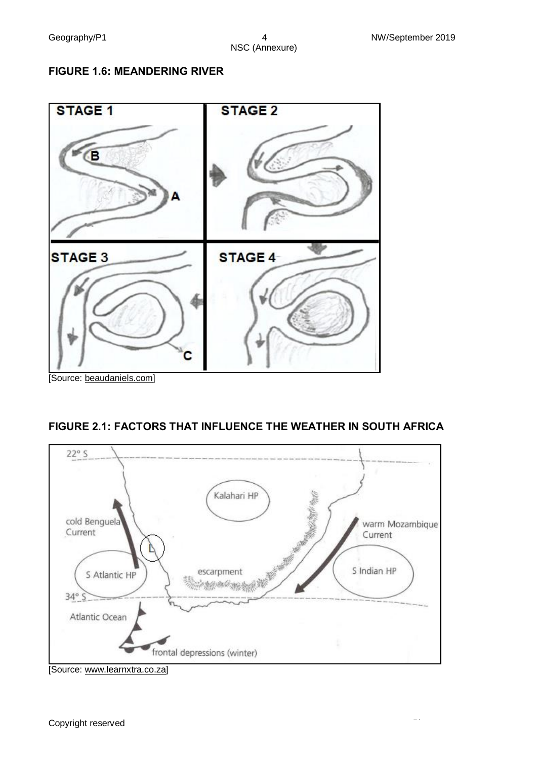#### **FIGURE 1.6: MEANDERING RIVER**



#### **FIGURE 2.1: FACTORS THAT INFLUENCE THE WEATHER IN SOUTH AFRICA**



<sup>[</sup>Source: www.learnxtra.co.za]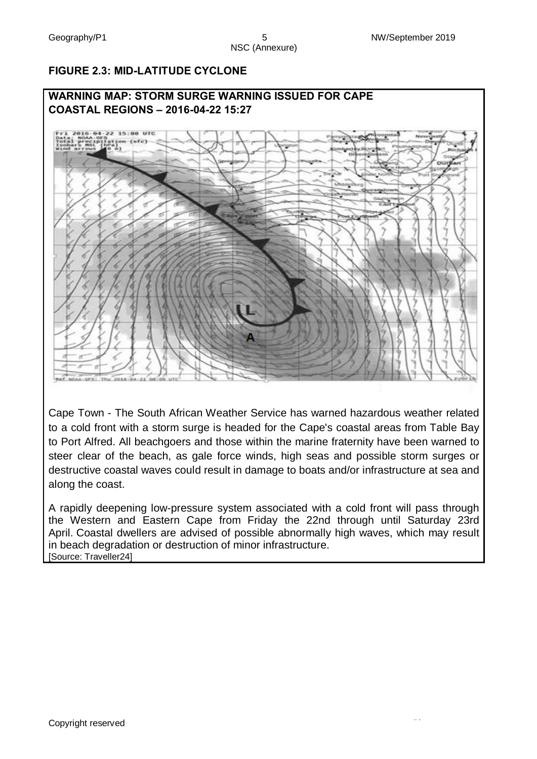# NSC (Annexure)

#### **FIGURE 2.3: MID-LATITUDE CYCLONE**



Cape Town - The South African Weather Service has warned hazardous weather related to a cold front with a storm surge is headed for the Cape's coastal areas from Table Bay to Port Alfred. All beachgoers and those within the marine fraternity have been warned to steer clear of the beach, as gale force winds, high seas and possible storm surges or destructive coastal waves could result in damage to boats and/or infrastructure at sea and along the coast.

A rapidly deepening low-pressure system associated with a cold front will pass through the Western and Eastern Cape from Friday the 22nd through until Saturday 23rd April. Coastal dwellers are advised of possible abnormally high waves, which may result in beach degradation or destruction of minor infrastructure. [Source: Traveller24]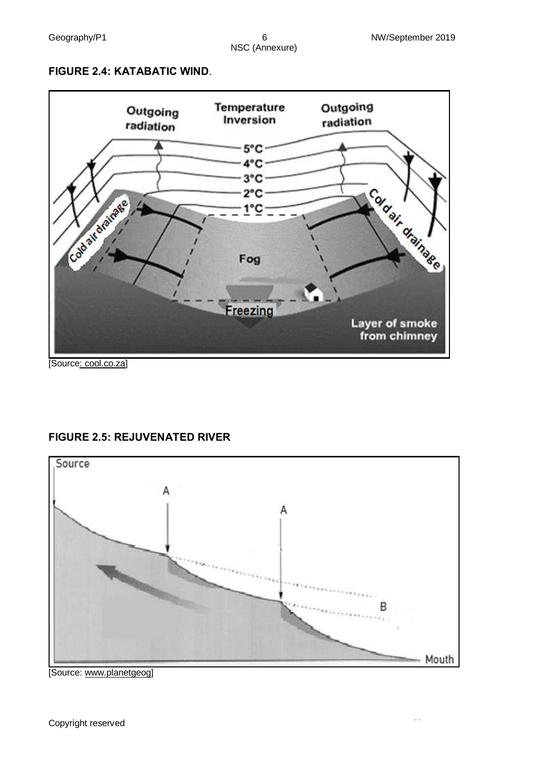#### **FIGURE 2.4: KATABATIC WIND**.



[Source: cool.co.za]

#### **FIGURE 2.5: REJUVENATED RIVER**



[Source: www.planetgeog]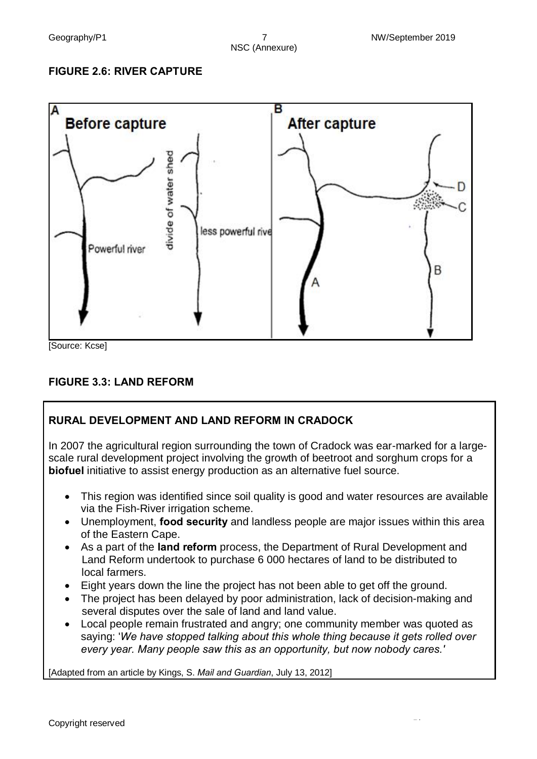#### **FIGURE 2.6: RIVER CAPTURE**



# **FIGURE 3.3: LAND REFORM**

# **RURAL DEVELOPMENT AND LAND REFORM IN CRADOCK**

In 2007 the agricultural region surrounding the town of Cradock was ear-marked for a largescale rural development project involving the growth of beetroot and sorghum crops for a **biofuel** initiative to assist energy production as an alternative fuel source.

- · This region was identified since soil quality is good and water resources are available via the Fish-River irrigation scheme.
- · Unemployment, **food security** and landless people are major issues within this area of the Eastern Cape.
- · As a part of the **land reform** process, the Department of Rural Development and Land Reform undertook to purchase 6 000 hectares of land to be distributed to local farmers.
- · Eight years down the line the project has not been able to get off the ground.
- · The project has been delayed by poor administration, lack of decision-making and several disputes over the sale of land and land value.
- Local people remain frustrated and angry; one community member was quoted as saying: '*We have stopped talking about this whole thing because it gets rolled over every year. Many people saw this as an opportunity, but now nobody cares.'*

[Adapted from an article by Kings, S. *Mail and Guardian*, July 13, 2012]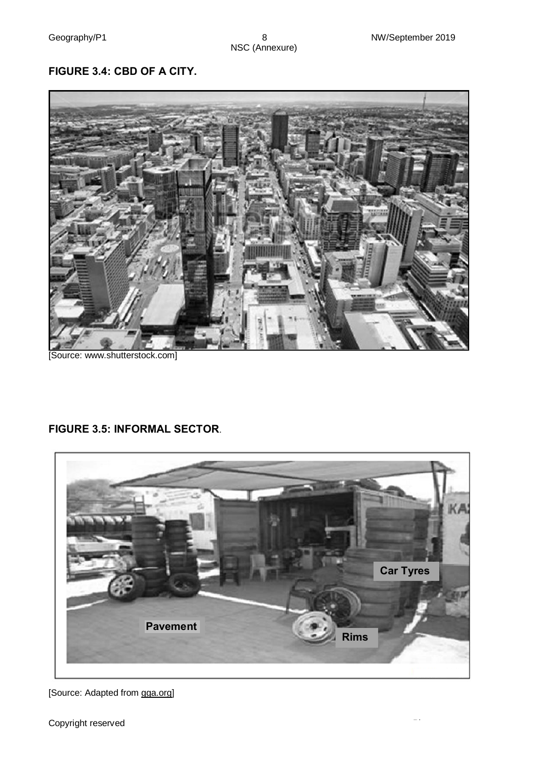# **FIGURE 3.4: CBD OF A CITY.**



[Source: www.shutterstock.com]

#### **FIGURE 3.5: INFORMAL SECTOR**.



[Source: Adapted from gga.org]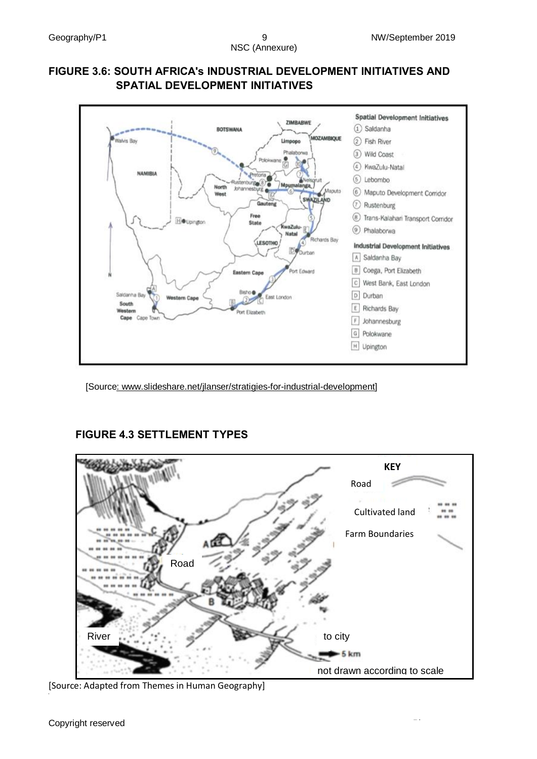#### **FIGURE 3.6: SOUTH AFRICA's INDUSTRIAL DEVELOPMENT INITIATIVES AND SPATIAL DEVELOPMENT INITIATIVES**



[Source: www.slideshare.net/jlanser/stratigies-for-industrial-development]

# **FIGURE 4.3 SETTLEMENT TYPES**



[Source: Adapted from Themes in Human Geography]

Themes in Geo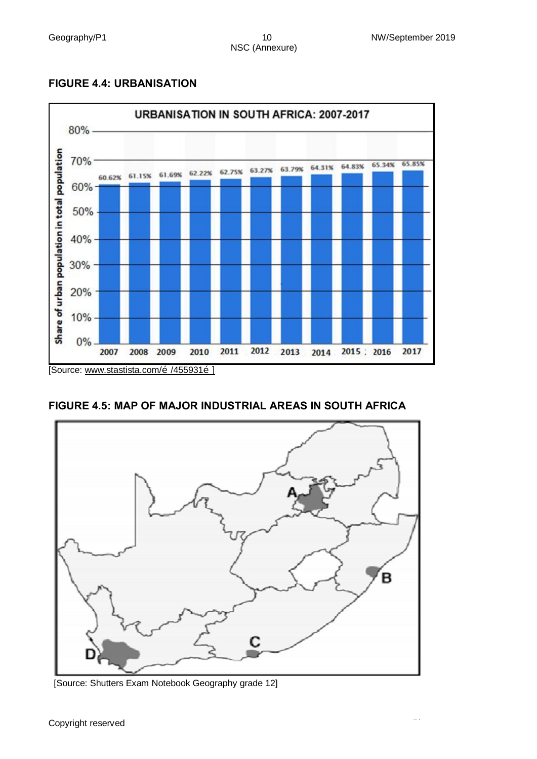#### **FIGURE 4.4: URBANISATION**



#### **FIGURE 4.5: MAP OF MAJOR INDUSTRIAL AREAS IN SOUTH AFRICA**



[Source: Shutters Exam Notebook Geography grade 12]